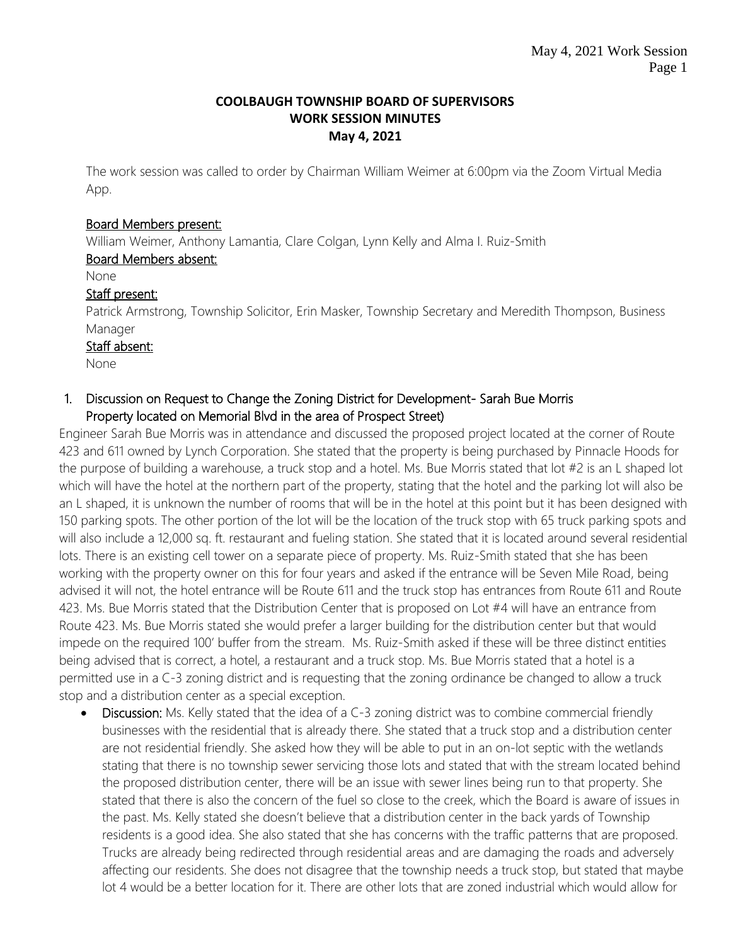### **COOLBAUGH TOWNSHIP BOARD OF SUPERVISORS WORK SESSION MINUTES May 4, 2021**

The work session was called to order by Chairman William Weimer at 6:00pm via the Zoom Virtual Media App.

#### Board Members present:

William Weimer, Anthony Lamantia, Clare Colgan, Lynn Kelly and Alma I. Ruiz-Smith

#### Board Members absent:

None

#### Staff present:

Patrick Armstrong, Township Solicitor, Erin Masker, Township Secretary and Meredith Thompson, Business Manager

#### Staff absent:

None

### 1. Discussion on Request to Change the Zoning District for Development- Sarah Bue Morris Property located on Memorial Blvd in the area of Prospect Street)

Engineer Sarah Bue Morris was in attendance and discussed the proposed project located at the corner of Route 423 and 611 owned by Lynch Corporation. She stated that the property is being purchased by Pinnacle Hoods for the purpose of building a warehouse, a truck stop and a hotel. Ms. Bue Morris stated that lot #2 is an L shaped lot which will have the hotel at the northern part of the property, stating that the hotel and the parking lot will also be an L shaped, it is unknown the number of rooms that will be in the hotel at this point but it has been designed with 150 parking spots. The other portion of the lot will be the location of the truck stop with 65 truck parking spots and will also include a 12,000 sq. ft. restaurant and fueling station. She stated that it is located around several residential lots. There is an existing cell tower on a separate piece of property. Ms. Ruiz-Smith stated that she has been working with the property owner on this for four years and asked if the entrance will be Seven Mile Road, being advised it will not, the hotel entrance will be Route 611 and the truck stop has entrances from Route 611 and Route 423. Ms. Bue Morris stated that the Distribution Center that is proposed on Lot #4 will have an entrance from Route 423. Ms. Bue Morris stated she would prefer a larger building for the distribution center but that would impede on the required 100' buffer from the stream. Ms. Ruiz-Smith asked if these will be three distinct entities being advised that is correct, a hotel, a restaurant and a truck stop. Ms. Bue Morris stated that a hotel is a permitted use in a C-3 zoning district and is requesting that the zoning ordinance be changed to allow a truck stop and a distribution center as a special exception.

• Discussion: Ms. Kelly stated that the idea of a C-3 zoning district was to combine commercial friendly businesses with the residential that is already there. She stated that a truck stop and a distribution center are not residential friendly. She asked how they will be able to put in an on-lot septic with the wetlands stating that there is no township sewer servicing those lots and stated that with the stream located behind the proposed distribution center, there will be an issue with sewer lines being run to that property. She stated that there is also the concern of the fuel so close to the creek, which the Board is aware of issues in the past. Ms. Kelly stated she doesn't believe that a distribution center in the back yards of Township residents is a good idea. She also stated that she has concerns with the traffic patterns that are proposed. Trucks are already being redirected through residential areas and are damaging the roads and adversely affecting our residents. She does not disagree that the township needs a truck stop, but stated that maybe lot 4 would be a better location for it. There are other lots that are zoned industrial which would allow for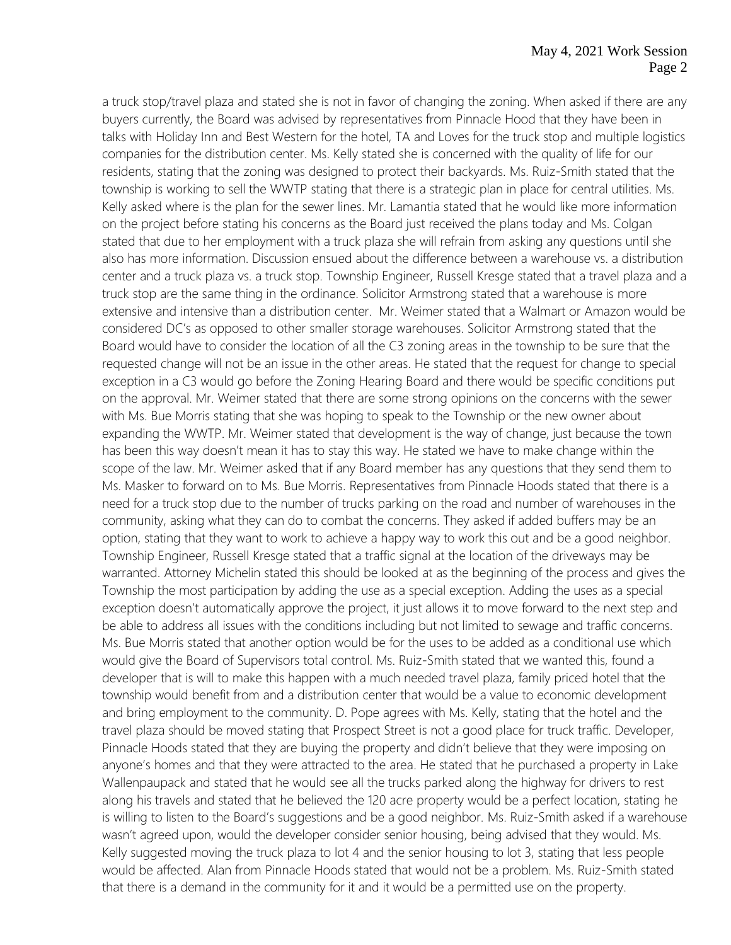a truck stop/travel plaza and stated she is not in favor of changing the zoning. When asked if there are any buyers currently, the Board was advised by representatives from Pinnacle Hood that they have been in talks with Holiday Inn and Best Western for the hotel, TA and Loves for the truck stop and multiple logistics companies for the distribution center. Ms. Kelly stated she is concerned with the quality of life for our residents, stating that the zoning was designed to protect their backyards. Ms. Ruiz-Smith stated that the township is working to sell the WWTP stating that there is a strategic plan in place for central utilities. Ms. Kelly asked where is the plan for the sewer lines. Mr. Lamantia stated that he would like more information on the project before stating his concerns as the Board just received the plans today and Ms. Colgan stated that due to her employment with a truck plaza she will refrain from asking any questions until she also has more information. Discussion ensued about the difference between a warehouse vs. a distribution center and a truck plaza vs. a truck stop. Township Engineer, Russell Kresge stated that a travel plaza and a truck stop are the same thing in the ordinance. Solicitor Armstrong stated that a warehouse is more extensive and intensive than a distribution center. Mr. Weimer stated that a Walmart or Amazon would be considered DC's as opposed to other smaller storage warehouses. Solicitor Armstrong stated that the Board would have to consider the location of all the C3 zoning areas in the township to be sure that the requested change will not be an issue in the other areas. He stated that the request for change to special exception in a C3 would go before the Zoning Hearing Board and there would be specific conditions put on the approval. Mr. Weimer stated that there are some strong opinions on the concerns with the sewer with Ms. Bue Morris stating that she was hoping to speak to the Township or the new owner about expanding the WWTP. Mr. Weimer stated that development is the way of change, just because the town has been this way doesn't mean it has to stay this way. He stated we have to make change within the scope of the law. Mr. Weimer asked that if any Board member has any questions that they send them to Ms. Masker to forward on to Ms. Bue Morris. Representatives from Pinnacle Hoods stated that there is a need for a truck stop due to the number of trucks parking on the road and number of warehouses in the community, asking what they can do to combat the concerns. They asked if added buffers may be an option, stating that they want to work to achieve a happy way to work this out and be a good neighbor. Township Engineer, Russell Kresge stated that a traffic signal at the location of the driveways may be warranted. Attorney Michelin stated this should be looked at as the beginning of the process and gives the Township the most participation by adding the use as a special exception. Adding the uses as a special exception doesn't automatically approve the project, it just allows it to move forward to the next step and be able to address all issues with the conditions including but not limited to sewage and traffic concerns. Ms. Bue Morris stated that another option would be for the uses to be added as a conditional use which would give the Board of Supervisors total control. Ms. Ruiz-Smith stated that we wanted this, found a developer that is will to make this happen with a much needed travel plaza, family priced hotel that the township would benefit from and a distribution center that would be a value to economic development and bring employment to the community. D. Pope agrees with Ms. Kelly, stating that the hotel and the travel plaza should be moved stating that Prospect Street is not a good place for truck traffic. Developer, Pinnacle Hoods stated that they are buying the property and didn't believe that they were imposing on anyone's homes and that they were attracted to the area. He stated that he purchased a property in Lake Wallenpaupack and stated that he would see all the trucks parked along the highway for drivers to rest along his travels and stated that he believed the 120 acre property would be a perfect location, stating he is willing to listen to the Board's suggestions and be a good neighbor. Ms. Ruiz-Smith asked if a warehouse wasn't agreed upon, would the developer consider senior housing, being advised that they would. Ms. Kelly suggested moving the truck plaza to lot 4 and the senior housing to lot 3, stating that less people would be affected. Alan from Pinnacle Hoods stated that would not be a problem. Ms. Ruiz-Smith stated that there is a demand in the community for it and it would be a permitted use on the property.